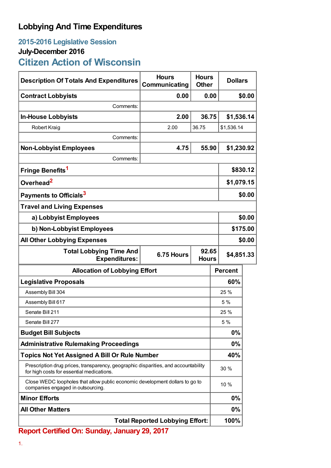## **Lobbying And Time Expenditures**

## **2015-2016 Legislative Session**

## **July-December 2016**

**Citizen Action of Wisconsin**

| <b>Description Of Totals And Expenditures</b>                                                                                   | <b>Hours</b><br>Communicating | <b>Hours</b><br><b>Other</b> | <b>Dollars</b> |          |  |
|---------------------------------------------------------------------------------------------------------------------------------|-------------------------------|------------------------------|----------------|----------|--|
| <b>Contract Lobbyists</b>                                                                                                       | 0.00                          | 0.00                         |                | \$0.00   |  |
| Comments:                                                                                                                       |                               |                              |                |          |  |
| <b>In-House Lobbyists</b>                                                                                                       | 2.00                          | 36.75                        | \$1,536.14     |          |  |
| <b>Robert Kraig</b>                                                                                                             | 2.00                          | 36.75                        | \$1,536.14     |          |  |
| Comments:                                                                                                                       |                               |                              |                |          |  |
| <b>Non-Lobbyist Employees</b>                                                                                                   | 4.75                          | 55.90                        | \$1,230.92     |          |  |
| Comments:                                                                                                                       |                               |                              |                |          |  |
| Fringe Benefits <sup>1</sup>                                                                                                    |                               |                              |                | \$830.12 |  |
| Overhead <sup>2</sup>                                                                                                           |                               |                              | \$1,079.15     |          |  |
| Payments to Officials <sup>3</sup>                                                                                              |                               |                              |                | \$0.00   |  |
| <b>Travel and Living Expenses</b>                                                                                               |                               |                              |                |          |  |
| a) Lobbyist Employees                                                                                                           |                               |                              |                | \$0.00   |  |
| b) Non-Lobbyist Employees                                                                                                       |                               |                              |                | \$175.00 |  |
| <b>All Other Lobbying Expenses</b>                                                                                              |                               |                              |                | \$0.00   |  |
| 92.65<br><b>Total Lobbying Time And</b><br>6.75 Hours<br><b>Expenditures:</b><br><b>Hours</b>                                   |                               |                              | \$4,851.33     |          |  |
| <b>Allocation of Lobbying Effort</b>                                                                                            |                               |                              | <b>Percent</b> |          |  |
| <b>Legislative Proposals</b>                                                                                                    |                               |                              | 60%            |          |  |
| Assembly Bill 304                                                                                                               |                               |                              | 25 %           |          |  |
| Assembly Bill 617                                                                                                               |                               |                              | 5%             |          |  |
| Senate Bill 211                                                                                                                 |                               |                              | 25 %           |          |  |
| Senate Bill 277                                                                                                                 |                               |                              | 5 %            |          |  |
| <b>Budget Bill Subjects</b>                                                                                                     |                               |                              | 0%             |          |  |
| <b>Administrative Rulemaking Proceedings</b>                                                                                    |                               |                              | $0\%$          |          |  |
| <b>Topics Not Yet Assigned A Bill Or Rule Number</b>                                                                            |                               |                              | 40%            |          |  |
| Prescription drug prices, transparency, geographic disparities, and accountability<br>for high costs for essential medications. |                               |                              | 30 %           |          |  |
| Close WEDC loopholes that allow public economic development dollars to go to<br>companies engaged in outsourcing.               |                               |                              | 10 %           |          |  |
| <b>Minor Efforts</b>                                                                                                            |                               |                              | 0%             |          |  |
| <b>All Other Matters</b>                                                                                                        |                               |                              | $0\%$          |          |  |
| <b>Total Reported Lobbying Effort:</b>                                                                                          |                               |                              | 100%           |          |  |

**Report Certified On: Sunday, January 29, 2017**